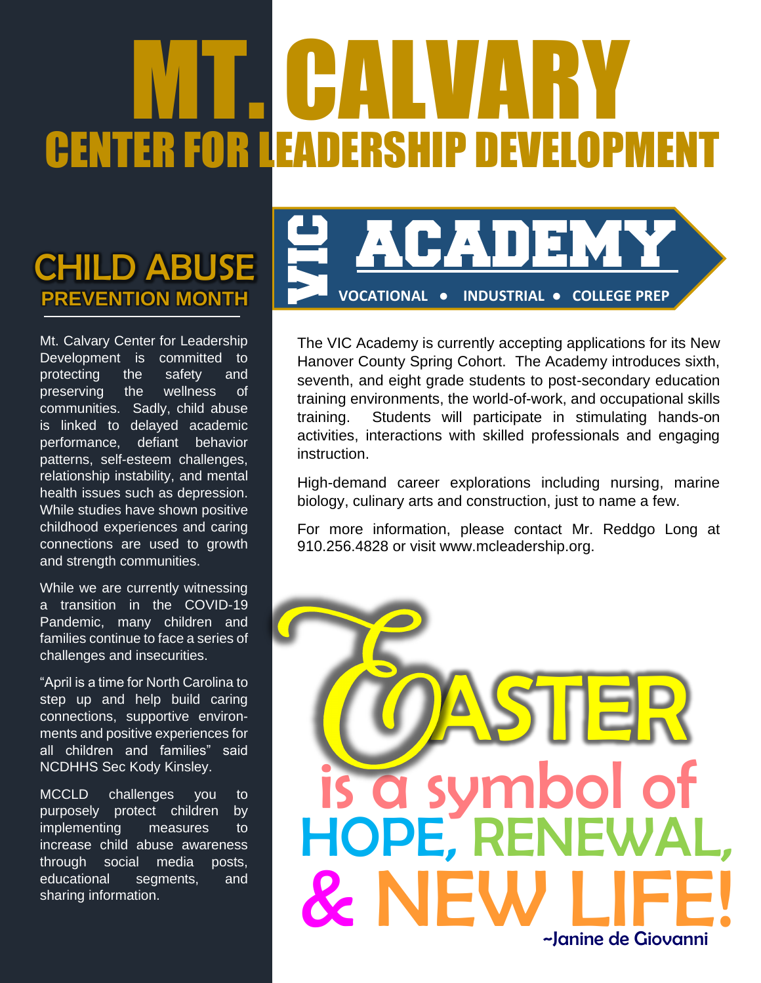# MT. CALVARY CENTER FOR LEADERSHIP

### **PREVENTION MONTH** CHILD ABUSE

Mt. Calvary Center for Leadership Development is committed to protecting the safety and preserving the wellness of communities. Sadly, child abuse is linked to delayed academic performance, defiant behavior patterns, self-esteem challenges, relationship instability, and mental health issues such as depression. While studies have shown positive childhood experiences and caring connections are used to growth and strength communities.

While we are currently witnessing a transition in the COVID-19 Pandemic, many children and families continue to face a series of challenges and insecurities.

"April is a time for North Carolina to step up and help build caring connections, supportive environments and positive experiences for all children and families" said NCDHHS Sec Kody Kinsley.

MCCLD challenges you to purposely protect children by implementing measures to increase child abuse awareness through social media posts, educational segments, and sharing information.



The VIC Academy is currently accepting applications for its New Hanover County Spring Cohort. The Academy introduces sixth, seventh, and eight grade students to post-secondary education training environments, the world-of-work, and occupational skills training. Students will participate in stimulating hands-on activities, interactions with skilled professionals and engaging instruction. **Example 12.4828** or visit [www.mcleadership.org.](http://www.mcleadership.org/) For more information, please contact Mr. Reddgo 1910.256.4828 or visit www.mcleadership.org.

High-demand career explorations including nursing, marine biology, culinary arts and construction, just to name a few.

For more information, please contact Mr. Reddgo Long at

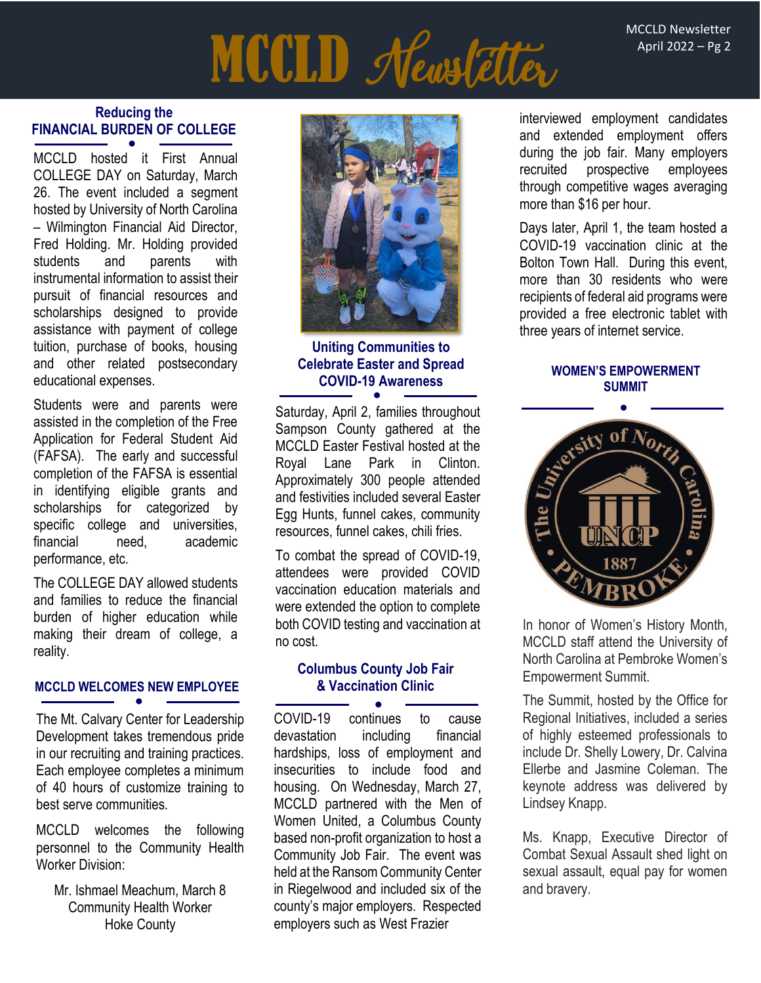MCCLD Newsletter April 2022 – Pg 2

## **MCCLD** Meastetter

#### **Reducing the FINANCIAL BURDEN OF COLLEGE** ●

MCCLD hosted it First Annual COLLEGE DAY on Saturday, March 26. The event included a segment hosted by University of North Carolina – Wilmington Financial Aid Director, Fred Holding. Mr. Holding provided students and parents with instrumental information to assist their pursuit of financial resources and scholarships designed to provide assistance with payment of college tuition, purchase of books, housing and other related postsecondary educational expenses.

Students were and parents were assisted in the completion of the Free Application for Federal Student Aid (FAFSA). The early and successful completion of the FAFSA is essential in identifying eligible grants and scholarships for categorized by specific college and universities, financial need academic performance, etc.

The COLLEGE DAY allowed students and families to reduce the financial burden of higher education while making their dream of college, a reality.

#### **MCCLD WELCOMES NEW EMPLOYEE** ●

The Mt. Calvary Center for Leadership Development takes tremendous pride in our recruiting and training practices. Each employee completes a minimum of 40 hours of customize training to best serve communities.

MCCLD welcomes the following personnel to the Community Health Worker Division:

Mr. Ishmael Meachum, March 8 Community Health Worker Hoke County



#### **Uniting Communities to Celebrate Easter and Spread COVID-19 Awareness WOMEN'S EMPOWERMENT** ●

Saturday, April 2, families throughout Sampson County gathered at the MCCLD Easter Festival hosted at the Royal Lane Park in Clinton. Approximately 300 people attended and festivities included several Easter Egg Hunts, funnel cakes, community resources, funnel cakes, chili fries.

To combat the spread of COVID-19, attendees were provided COVID vaccination education materials and were extended the option to complete both COVID testing and vaccination at no cost.

#### **Columbus County Job Fair & Vaccination Clinic**

COVID-19 continues to cause devastation including financial hardships, loss of employment and insecurities to include food and housing. On Wednesday, March 27, MCCLD partnered with the Men of Women United, a Columbus County based non-profit organization to host a Community Job Fair. The event was held at the Ransom Community Center in Riegelwood and included six of the county's major employers. Respected employers such as West Frazier ●

interviewed employment candidates and extended employment offers during the job fair. Many employers recruited prospective employees through competitive wages averaging more than \$16 per hour.

Days later, April 1, the team hosted a COVID-19 vaccination clinic at the Bolton Town Hall. During this event, more than 30 residents who were recipients of federal aid programs were provided a free electronic tablet with three years of internet service.

### **SUMMIT**



In honor of Women's History Month, MCCLD staff attend the University of North Carolina at Pembroke Women's Empowerment Summit.

The Summit, hosted by the Office for Regional Initiatives, included a series of highly esteemed professionals to include Dr. Shelly Lowery, Dr. Calvina Ellerbe and Jasmine Coleman. The keynote address was delivered by Lindsey Knapp.

Ms. Knapp, Executive Director of Combat Sexual Assault shed light on sexual assault, equal pay for women and bravery.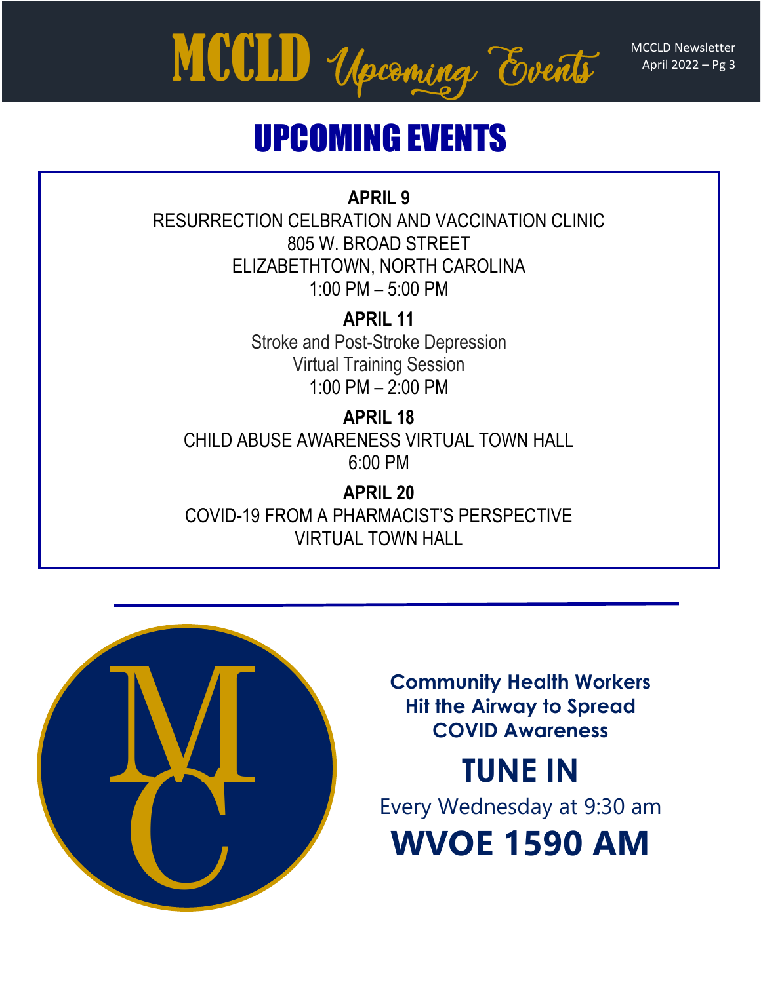April 2022 – Pg 3



## UPCOMING EVENTS

### **APRIL 9**

RESURRECTION CELBRATION AND VACCINATION CLINIC 805 W. BROAD STREET ELIZABETHTOWN, NORTH CAROLINA 1:00 PM – 5:00 PM

> **APRIL 11**  Stroke and Post-Stroke Depression Virtual Training Session 1:00 PM – 2:00 PM

**APRIL 18** CHILD ABUSE AWARENESS VIRTUAL TOWN HALL 6:00 PM

**APRIL 20** COVID-19 FROM A PHARMACIST'S PERSPECTIVE VIRTUAL TOWN HALL



**Community Health Workers Hit the Airway to Spread COVID Awareness**

## **TUNE IN**

Every Wednesday at 9:30 am

**WVOE 1590 AM**